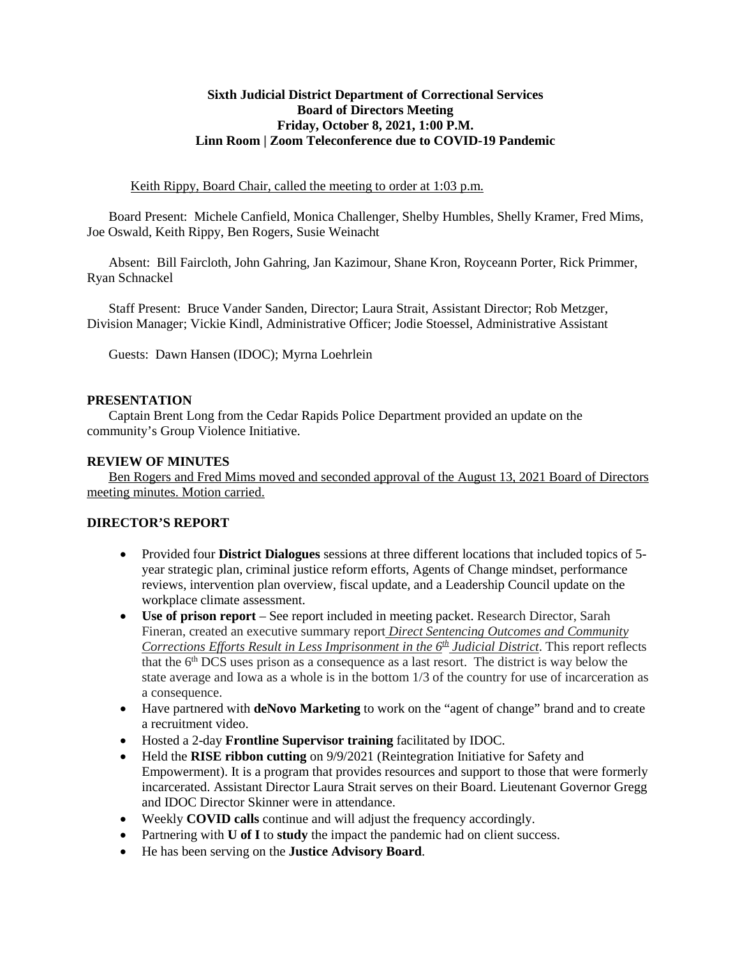### **Sixth Judicial District Department of Correctional Services Board of Directors Meeting Friday, October 8, 2021, 1:00 P.M. Linn Room | Zoom Teleconference due to COVID-19 Pandemic**

Keith Rippy, Board Chair, called the meeting to order at 1:03 p.m.

Board Present: Michele Canfield, Monica Challenger, Shelby Humbles, Shelly Kramer, Fred Mims, Joe Oswald, Keith Rippy, Ben Rogers, Susie Weinacht

Absent: Bill Faircloth, John Gahring, Jan Kazimour, Shane Kron, Royceann Porter, Rick Primmer, Ryan Schnackel

Staff Present: Bruce Vander Sanden, Director; Laura Strait, Assistant Director; Rob Metzger, Division Manager; Vickie Kindl, Administrative Officer; Jodie Stoessel, Administrative Assistant

Guests: Dawn Hansen (IDOC); Myrna Loehrlein

#### **PRESENTATION**

Captain Brent Long from the Cedar Rapids Police Department provided an update on the community's Group Violence Initiative.

#### **REVIEW OF MINUTES**

Ben Rogers and Fred Mims moved and seconded approval of the August 13, 2021 Board of Directors meeting minutes. Motion carried.

### **DIRECTOR'S REPORT**

- Provided four **District Dialogues** sessions at three different locations that included topics of 5 year strategic plan, criminal justice reform efforts, Agents of Change mindset, performance reviews, intervention plan overview, fiscal update, and a Leadership Council update on the workplace climate assessment.
- **Use of prison report** See report included in meeting packet. Research Director, Sarah Fineran, created an executive summary report *Direct Sentencing Outcomes and Community Corrections Efforts Result in Less Imprisonment in the 6th Judicial District*. This report reflects that the  $6<sup>th</sup> DCS$  uses prison as a consequence as a last resort. The district is way below the state average and Iowa as a whole is in the bottom 1/3 of the country for use of incarceration as a consequence.
- Have partnered with **deNovo Marketing** to work on the "agent of change" brand and to create a recruitment video.
- Hosted a 2-day **Frontline Supervisor training** facilitated by IDOC.
- Held the **RISE ribbon cutting** on 9/9/2021 (Reintegration Initiative for Safety and Empowerment). It is a program that provides resources and support to those that were formerly incarcerated. Assistant Director Laura Strait serves on their Board. Lieutenant Governor Gregg and IDOC Director Skinner were in attendance.
- Weekly **COVID calls** continue and will adjust the frequency accordingly.
- Partnering with **U of I** to **study** the impact the pandemic had on client success.
- He has been serving on the **Justice Advisory Board**.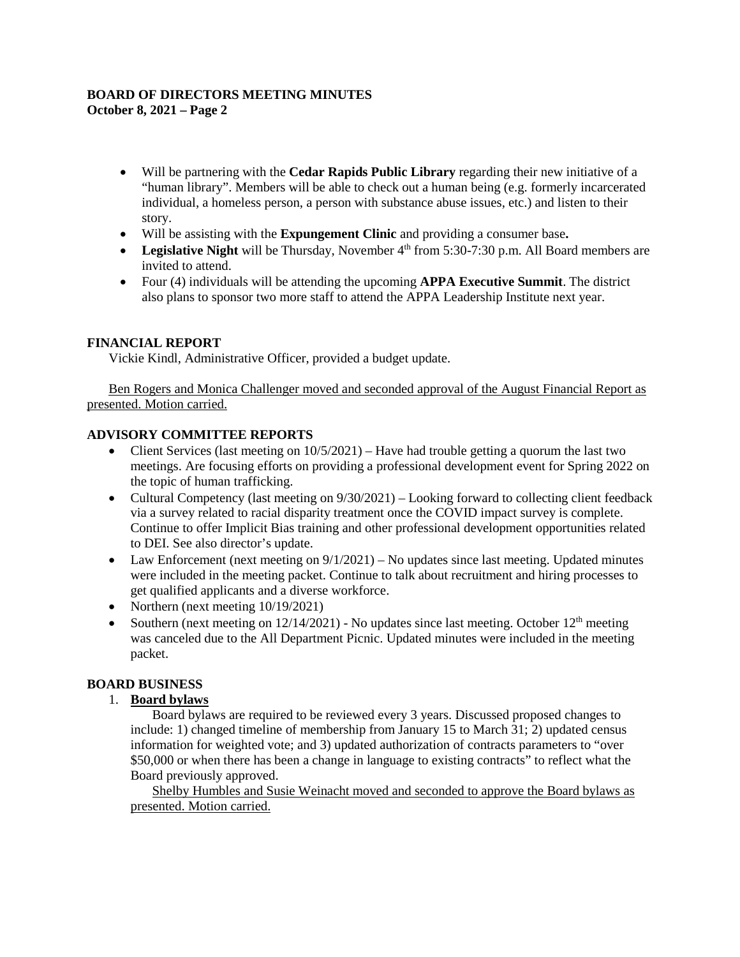#### **BOARD OF DIRECTORS MEETING MINUTES October 8, 2021 – Page 2**

- Will be partnering with the **Cedar Rapids Public Library** regarding their new initiative of a "human library". Members will be able to check out a human being (e.g. formerly incarcerated individual, a homeless person, a person with substance abuse issues, etc.) and listen to their story.
- Will be assisting with the **Expungement Clinic** and providing a consumer base**.**
- Legislative Night will be Thursday, November 4<sup>th</sup> from 5:30-7:30 p.m. All Board members are invited to attend.
- Four (4) individuals will be attending the upcoming **APPA Executive Summit**. The district also plans to sponsor two more staff to attend the APPA Leadership Institute next year.

### **FINANCIAL REPORT**

Vickie Kindl, Administrative Officer, provided a budget update.

Ben Rogers and Monica Challenger moved and seconded approval of the August Financial Report as presented. Motion carried.

### **ADVISORY COMMITTEE REPORTS**

- Client Services (last meeting on  $10/5/2021$ ) Have had trouble getting a quorum the last two meetings. Are focusing efforts on providing a professional development event for Spring 2022 on the topic of human trafficking.
- Cultural Competency (last meeting on  $9/30/2021$ ) Looking forward to collecting client feedback via a survey related to racial disparity treatment once the COVID impact survey is complete. Continue to offer Implicit Bias training and other professional development opportunities related to DEI. See also director's update.
- Law Enforcement (next meeting on  $9/1/2021$ ) No updates since last meeting. Updated minutes were included in the meeting packet. Continue to talk about recruitment and hiring processes to get qualified applicants and a diverse workforce.
- Northern (next meeting  $10/19/2021$ )
- Southern (next meeting on  $12/14/2021$ ) No updates since last meeting. October  $12<sup>th</sup>$  meeting was canceled due to the All Department Picnic. Updated minutes were included in the meeting packet.

## **BOARD BUSINESS**

### 1. **Board bylaws**

Board bylaws are required to be reviewed every 3 years. Discussed proposed changes to include: 1) changed timeline of membership from January 15 to March 31; 2) updated census information for weighted vote; and 3) updated authorization of contracts parameters to "over \$50,000 or when there has been a change in language to existing contracts" to reflect what the Board previously approved.

Shelby Humbles and Susie Weinacht moved and seconded to approve the Board bylaws as presented. Motion carried.